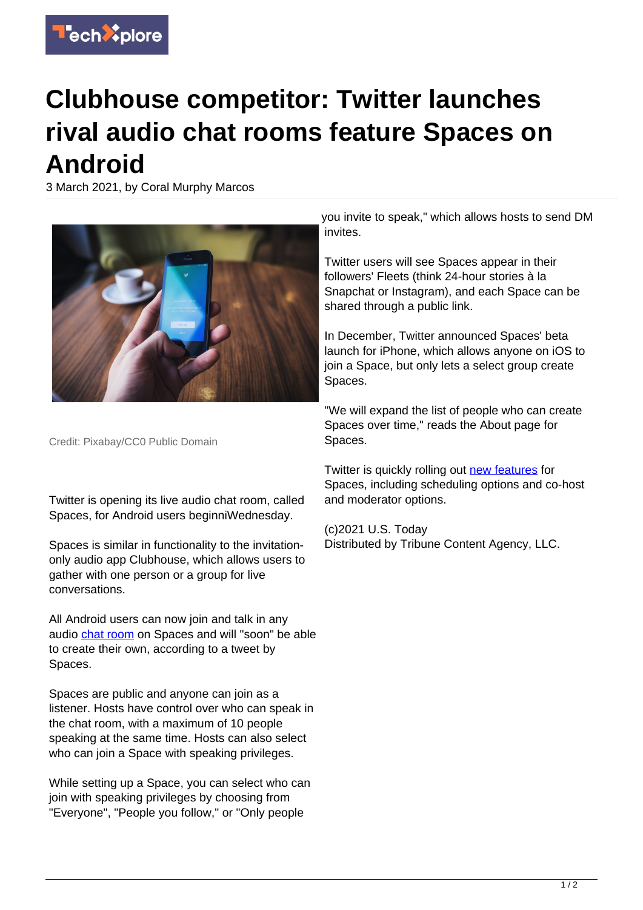

## **Clubhouse competitor: Twitter launches rival audio chat rooms feature Spaces on Android**

3 March 2021, by Coral Murphy Marcos



Credit: Pixabay/CC0 Public Domain

Twitter is opening its live audio chat room, called Spaces, for Android users beginniWednesday.

Spaces is similar in functionality to the invitationonly audio app Clubhouse, which allows users to gather with one person or a group for live conversations.

All Android users can now join and talk in any audio [chat room](https://techxplore.com/tags/chat+room/) on Spaces and will "soon" be able to create their own, according to a tweet by Spaces.

Spaces are public and anyone can join as a listener. Hosts have control over who can speak in the chat room, with a maximum of 10 people speaking at the same time. Hosts can also select who can join a Space with speaking privileges.

While setting up a Space, you can select who can join with speaking privileges by choosing from "Everyone", "People you follow," or "Only people

you invite to speak," which allows hosts to send DM invites.

Twitter users will see Spaces appear in their followers' Fleets (think 24-hour stories à la Snapchat or Instagram), and each Space can be shared through a public link.

In December, Twitter announced Spaces' beta launch for iPhone, which allows anyone on iOS to join a Space, but only lets a select group create Spaces.

"We will expand the list of people who can create Spaces over time," reads the About page for Spaces.

Twitter is quickly rolling out [new features](https://techxplore.com/tags/new+features/) for Spaces, including scheduling options and co-host and moderator options.

(c)2021 U.S. Today Distributed by Tribune Content Agency, LLC.